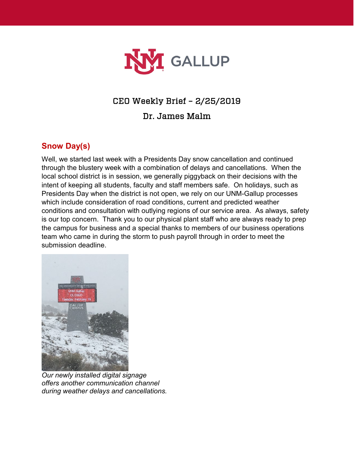

# CEO Weekly Brief – 2/25/2019

Dr. James Malm

## **Snow Day(s)**

Well, we started last week with a Presidents Day snow cancellation and continued through the blustery week with a combination of delays and cancellations. When the local school district is in session, we generally piggyback on their decisions with the intent of keeping all students, faculty and staff members safe. On holidays, such as Presidents Day when the district is not open, we rely on our UNM-Gallup processes which include consideration of road conditions, current and predicted weather conditions and consultation with outlying regions of our service area. As always, safety is our top concern. Thank you to our physical plant staff who are always ready to prep the campus for business and a special thanks to members of our business operations team who came in during the storm to push payroll through in order to meet the submission deadline.



*Our newly installed digital signage offers another communication channel during weather delays and cancellations.*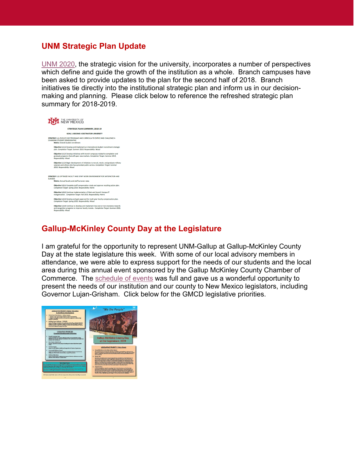#### **UNM Strategic Plan Update**

[UNM 2020,](http://strategy.unm.edu/perspectives/index.html) the strategic vision for the university, incorporates a number of perspectives which define and guide the growth of the institution as a whole. Branch campuses have been asked to provide updates to the plan for the second half of 2018. Branch initiatives tie directly into the institutional strategic plan and inform us in our decisionmaking and planning. Please click below to reference the refreshed strategic plan summary for 2018-2019.



### **Gallup-McKinley County Day at the Legislature**

I am grateful for the opportunity to represent UNM-Gallup at Gallup-McKinley County Day at the state legislature this week. With some of our local advisory members in attendance, we were able to express support for the needs of our students and the local area during this annual event sponsored by the Gallup McKinley County Chamber of Commerce. The [schedule of events](https://gallup.unm.edu/pdfs/20190221-22BoardPacket.pdf) was full and gave us a wonderful opportunity to present the needs of our institution and our county to New Mexico legislators, including Governor Lujan-Grisham. Click below for the GMCD legislative priorities.

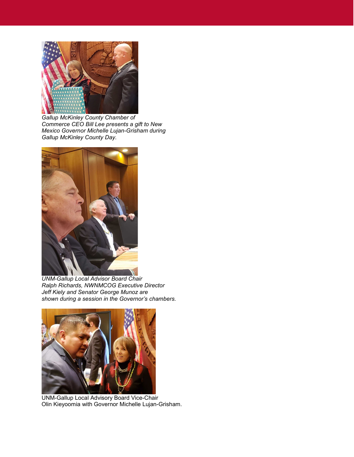

*Gallup McKinley County Chamber of Commerce CEO Bill Lee presents a gift to New Mexico Governor Michelle Lujan-Grisham during Gallup McKinley County Day.*



*UNM-Gallup Local Advisor Board Chair Ralph Richards, NWNMCOG Executive Director Jeff Kiely and Senator George Munoz are shown during a session in the Governor's chambers.*



UNM-Gallup Local Advisory Board Vice-Chair Olin Kieyoomia with Governor Michelle Lujan-Grisham.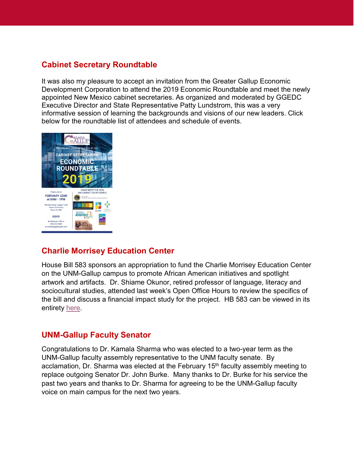## **Cabinet Secretary Roundtable**

It was also my pleasure to accept an invitation from the Greater Gallup Economic Development Corporation to attend the 2019 Economic Roundtable and meet the newly appointed New Mexico cabinet secretaries. As organized and moderated by GGEDC Executive Director and State Representative Patty Lundstrom, this was a very informative session of learning the backgrounds and visions of our new leaders. Click below for the roundtable list of attendees and schedule of events.



### **Charlie Morrisey Education Center**

House Bill 583 sponsors an appropriation to fund the Charlie Morrisey Education Center on the UNM-Gallup campus to promote African American initiatives and spotlight artwork and artifacts. Dr. Shiame Okunor, retired professor of language, literacy and sociocultural studies, attended last week's Open Office Hours to review the specifics of the bill and discuss a financial impact study for the project. HB 583 can be viewed in its entirety [here.](https://www.nmlegis.gov/Legislation/Legislation?Chamber=H&LegType=B&LegNo=583&year=19)

### **UNM-Gallup Faculty Senator**

Congratulations to Dr. Kamala Sharma who was elected to a two-year term as the UNM-Gallup faculty assembly representative to the UNM faculty senate. By acclamation, Dr. Sharma was elected at the February 15<sup>th</sup> faculty assembly meeting to replace outgoing Senator Dr. John Burke. Many thanks to Dr. Burke for his service the past two years and thanks to Dr. Sharma for agreeing to be the UNM-Gallup faculty voice on main campus for the next two years.